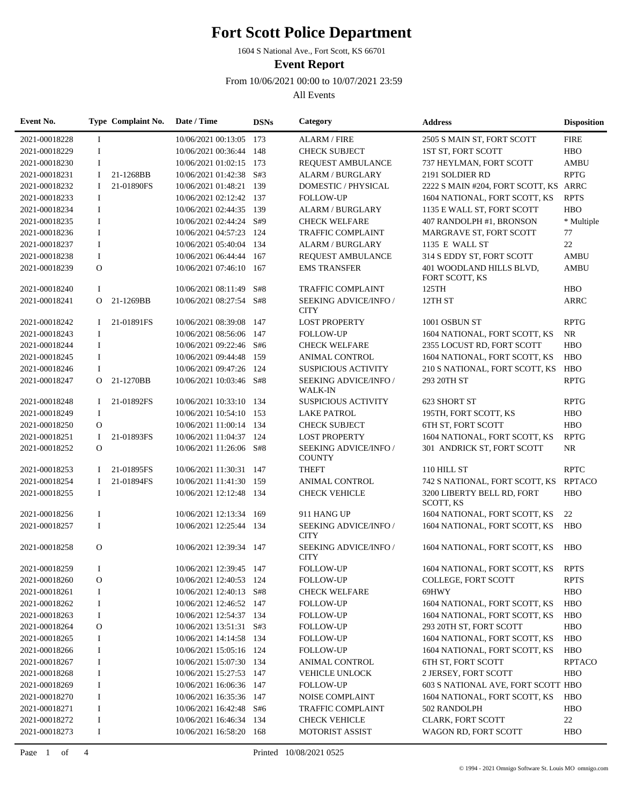1604 S National Ave., Fort Scott, KS 66701

**Event Report**

From 10/06/2021 00:00 to 10/07/2021 23:59

| Event No.     |              | Type Complaint No. | Date / Time             | <b>DSNs</b> | Category                                | <b>Address</b>                          | <b>Disposition</b> |
|---------------|--------------|--------------------|-------------------------|-------------|-----------------------------------------|-----------------------------------------|--------------------|
| 2021-00018228 | $\bf{I}$     |                    | 10/06/2021 00:13:05 173 |             | <b>ALARM / FIRE</b>                     | 2505 S MAIN ST, FORT SCOTT              | <b>FIRE</b>        |
| 2021-00018229 | $\bf{I}$     |                    | 10/06/2021 00:36:44 148 |             | <b>CHECK SUBJECT</b>                    | 1ST ST, FORT SCOTT                      | <b>HBO</b>         |
| 2021-00018230 | $\bf{I}$     |                    | 10/06/2021 01:02:15 173 |             | <b>REQUEST AMBULANCE</b>                | 737 HEYLMAN, FORT SCOTT                 | <b>AMBU</b>        |
| 2021-00018231 | 1            | 21-1268BB          | 10/06/2021 01:42:38     | S#3         | <b>ALARM / BURGLARY</b>                 | 2191 SOLDIER RD                         | <b>RPTG</b>        |
| 2021-00018232 | 1            | 21-01890FS         | 10/06/2021 01:48:21     | 139         | DOMESTIC / PHYSICAL                     | 2222 S MAIN #204, FORT SCOTT, KS ARRC   |                    |
| 2021-00018233 | I            |                    | 10/06/2021 02:12:42 137 |             | <b>FOLLOW-UP</b>                        | 1604 NATIONAL, FORT SCOTT, KS           | <b>RPTS</b>        |
| 2021-00018234 | $\bf{I}$     |                    | 10/06/2021 02:44:35 139 |             | <b>ALARM / BURGLARY</b>                 | 1135 E WALL ST, FORT SCOTT              | <b>HBO</b>         |
| 2021-00018235 | $\mathbf I$  |                    | 10/06/2021 02:44:24 S#9 |             | <b>CHECK WELFARE</b>                    | 407 RANDOLPH #1, BRONSON                | * Multiple         |
| 2021-00018236 | $\bf{I}$     |                    | 10/06/2021 04:57:23 124 |             | <b>TRAFFIC COMPLAINT</b>                | MARGRAVE ST, FORT SCOTT                 | 77                 |
| 2021-00018237 | $\bf{I}$     |                    | 10/06/2021 05:40:04 134 |             | <b>ALARM / BURGLARY</b>                 | 1135 E WALL ST                          | 22                 |
| 2021-00018238 | $\bf{I}$     |                    | 10/06/2021 06:44:44 167 |             | <b>REQUEST AMBULANCE</b>                | 314 S EDDY ST, FORT SCOTT               | <b>AMBU</b>        |
| 2021-00018239 | $\mathbf O$  |                    | 10/06/2021 07:46:10 167 |             | <b>EMS TRANSFER</b>                     | 401 WOODLAND HILLS BLVD,                | <b>AMBU</b>        |
|               |              |                    |                         |             |                                         | FORT SCOTT, KS                          |                    |
| 2021-00018240 | $\bf{I}$     |                    | 10/06/2021 08:11:49     | S#8         | <b>TRAFFIC COMPLAINT</b>                | 125TH                                   | <b>HBO</b>         |
| 2021-00018241 | $\Omega$     | 21-1269BB          | 10/06/2021 08:27:54 S#8 |             | SEEKING ADVICE/INFO /<br><b>CITY</b>    | 12TH ST                                 | <b>ARRC</b>        |
| 2021-00018242 | $\mathbf{I}$ | 21-01891FS         | 10/06/2021 08:39:08 147 |             | <b>LOST PROPERTY</b>                    | 1001 OSBUN ST                           | <b>RPTG</b>        |
| 2021-00018243 | $\mathbf I$  |                    | 10/06/2021 08:56:06     | 147         | <b>FOLLOW-UP</b>                        | 1604 NATIONAL, FORT SCOTT, KS           | NR                 |
| 2021-00018244 | $\mathbf I$  |                    | 10/06/2021 09:22:46 S#6 |             | <b>CHECK WELFARE</b>                    | 2355 LOCUST RD, FORT SCOTT              | <b>HBO</b>         |
| 2021-00018245 | $\bf{I}$     |                    | 10/06/2021 09:44:48     | 159         | <b>ANIMAL CONTROL</b>                   | 1604 NATIONAL, FORT SCOTT, KS           | <b>HBO</b>         |
| 2021-00018246 | 1            |                    | 10/06/2021 09:47:26     | 124         | <b>SUSPICIOUS ACTIVITY</b>              | 210 S NATIONAL, FORT SCOTT, KS          | <b>HBO</b>         |
| 2021-00018247 | O            | 21-1270BB          | 10/06/2021 10:03:46 S#8 |             | SEEKING ADVICE/INFO /<br><b>WALK-IN</b> | 293 20TH ST                             | <b>RPTG</b>        |
| 2021-00018248 | Ι.           | 21-01892FS         | 10/06/2021 10:33:10 134 |             | <b>SUSPICIOUS ACTIVITY</b>              | 623 SHORT ST                            | <b>RPTG</b>        |
| 2021-00018249 | $\bf{I}$     |                    | 10/06/2021 10:54:10 153 |             | <b>LAKE PATROL</b>                      | 195TH, FORT SCOTT, KS                   | <b>HBO</b>         |
| 2021-00018250 | $\Omega$     |                    | 10/06/2021 11:00:14 134 |             | <b>CHECK SUBJECT</b>                    | <b>6TH ST, FORT SCOTT</b>               | <b>HBO</b>         |
| 2021-00018251 | 1            | 21-01893FS         | 10/06/2021 11:04:37 124 |             | <b>LOST PROPERTY</b>                    | 1604 NATIONAL, FORT SCOTT, KS           | <b>RPTG</b>        |
| 2021-00018252 | $\Omega$     |                    | 10/06/2021 11:26:06 S#8 |             | SEEKING ADVICE/INFO /<br><b>COUNTY</b>  | 301 ANDRICK ST, FORT SCOTT              | NR                 |
| 2021-00018253 | I            | 21-01895FS         | 10/06/2021 11:30:31     | 147         | <b>THEFT</b>                            | 110 HILL ST                             | <b>RPTC</b>        |
| 2021-00018254 | Ι.           | 21-01894FS         | 10/06/2021 11:41:30 159 |             | <b>ANIMAL CONTROL</b>                   | 742 S NATIONAL, FORT SCOTT, KS          | <b>RPTACO</b>      |
| 2021-00018255 | $\bf{I}$     |                    | 10/06/2021 12:12:48 134 |             | <b>CHECK VEHICLE</b>                    | 3200 LIBERTY BELL RD, FORT<br>SCOTT, KS | <b>HBO</b>         |
| 2021-00018256 | I            |                    | 10/06/2021 12:13:34 169 |             | 911 HANG UP                             | 1604 NATIONAL, FORT SCOTT, KS           | 22                 |
| 2021-00018257 | $\bf{I}$     |                    | 10/06/2021 12:25:44 134 |             | SEEKING ADVICE/INFO /<br><b>CITY</b>    | 1604 NATIONAL, FORT SCOTT, KS           | <b>HBO</b>         |
| 2021-00018258 | $\Omega$     |                    | 10/06/2021 12:39:34 147 |             | SEEKING ADVICE/INFO /<br><b>CITY</b>    | 1604 NATIONAL, FORT SCOTT, KS           | <b>HBO</b>         |
| 2021-00018259 | 1            |                    | 10/06/2021 12:39:45 147 |             | <b>FOLLOW-UP</b>                        | 1604 NATIONAL, FORT SCOTT, KS           | <b>RPTS</b>        |
| 2021-00018260 | O            |                    | 10/06/2021 12:40:53 124 |             | <b>FOLLOW-UP</b>                        | COLLEGE, FORT SCOTT                     | <b>RPTS</b>        |
| 2021-00018261 | 1            |                    | 10/06/2021 12:40:13 S#8 |             | <b>CHECK WELFARE</b>                    | 69HWY                                   | <b>HBO</b>         |
| 2021-00018262 | I            |                    | 10/06/2021 12:46:52 147 |             | <b>FOLLOW-UP</b>                        | 1604 NATIONAL, FORT SCOTT, KS           | <b>HBO</b>         |
| 2021-00018263 | I            |                    | 10/06/2021 12:54:37 134 |             | <b>FOLLOW-UP</b>                        | 1604 NATIONAL, FORT SCOTT, KS           | <b>HBO</b>         |
| 2021-00018264 | O            |                    | 10/06/2021 13:51:31 S#3 |             | <b>FOLLOW-UP</b>                        | 293 20TH ST, FORT SCOTT                 | <b>HBO</b>         |
| 2021-00018265 | I            |                    | 10/06/2021 14:14:58 134 |             | <b>FOLLOW-UP</b>                        | 1604 NATIONAL, FORT SCOTT, KS           | <b>HBO</b>         |
| 2021-00018266 | I            |                    | 10/06/2021 15:05:16 124 |             | <b>FOLLOW-UP</b>                        | 1604 NATIONAL, FORT SCOTT, KS           | <b>HBO</b>         |
| 2021-00018267 | I            |                    | 10/06/2021 15:07:30 134 |             | ANIMAL CONTROL                          | <b>6TH ST, FORT SCOTT</b>               | <b>RPTACO</b>      |
| 2021-00018268 | I            |                    | 10/06/2021 15:27:53     | 147         | <b>VEHICLE UNLOCK</b>                   | 2 JERSEY, FORT SCOTT                    | <b>HBO</b>         |
| 2021-00018269 | I            |                    | 10/06/2021 16:06:36 147 |             | <b>FOLLOW-UP</b>                        | 603 S NATIONAL AVE, FORT SCOTT HBO      |                    |
| 2021-00018270 | I            |                    | 10/06/2021 16:35:36 147 |             | <b>NOISE COMPLAINT</b>                  | 1604 NATIONAL, FORT SCOTT, KS           | <b>HBO</b>         |
| 2021-00018271 | I            |                    | 10/06/2021 16:42:48 S#6 |             | <b>TRAFFIC COMPLAINT</b>                | 502 RANDOLPH                            | <b>HBO</b>         |
| 2021-00018272 | I            |                    | 10/06/2021 16:46:34 134 |             | <b>CHECK VEHICLE</b>                    | <b>CLARK, FORT SCOTT</b>                | 22                 |
| 2021-00018273 | I            |                    | 10/06/2021 16:58:20 168 |             | MOTORIST ASSIST                         | WAGON RD, FORT SCOTT                    | <b>HBO</b>         |
|               |              |                    |                         |             |                                         |                                         |                    |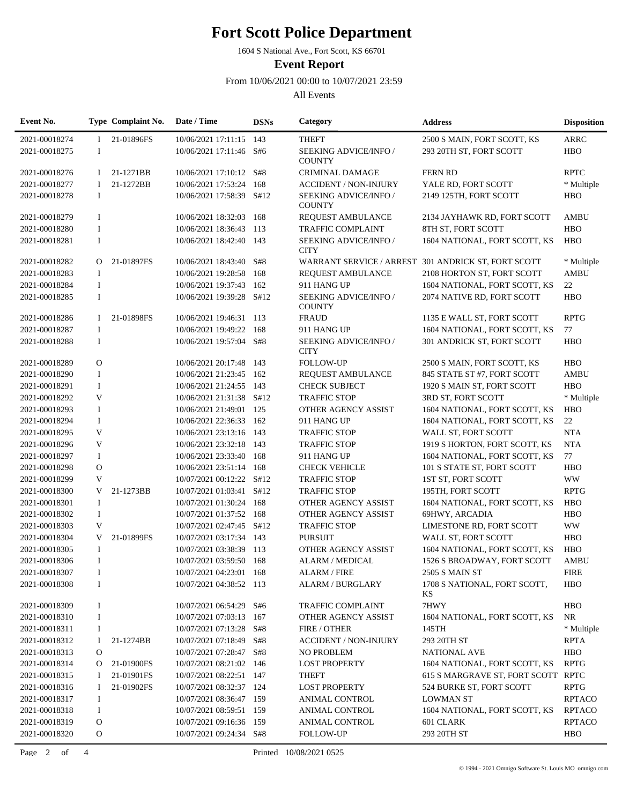1604 S National Ave., Fort Scott, KS 66701

**Event Report**

From 10/06/2021 00:00 to 10/07/2021 23:59

| Event No.     |               | Type Complaint No. | Date / Time              | <b>DSNs</b> | Category                               | <b>Address</b>                                      | <b>Disposition</b> |
|---------------|---------------|--------------------|--------------------------|-------------|----------------------------------------|-----------------------------------------------------|--------------------|
| 2021-00018274 | L             | 21-01896FS         | 10/06/2021 17:11:15 143  |             | <b>THEFT</b>                           | 2500 S MAIN, FORT SCOTT, KS                         | <b>ARRC</b>        |
| 2021-00018275 | $\mathbf I$   |                    | 10/06/2021 17:11:46 S#6  |             | SEEKING ADVICE/INFO /<br><b>COUNTY</b> | 293 20TH ST, FORT SCOTT                             | <b>HBO</b>         |
| 2021-00018276 | Ι.            | 21-1271BB          | 10/06/2021 17:10:12 S#8  |             | <b>CRIMINAL DAMAGE</b>                 | <b>FERN RD</b>                                      | <b>RPTC</b>        |
| 2021-00018277 | Ι.            | 21-1272BB          | 10/06/2021 17:53:24      | 168         | <b>ACCIDENT / NON-INJURY</b>           | YALE RD, FORT SCOTT                                 | * Multiple         |
| 2021-00018278 | 1             |                    | 10/06/2021 17:58:39 S#12 |             | SEEKING ADVICE/INFO /<br><b>COUNTY</b> | 2149 125TH, FORT SCOTT                              | <b>HBO</b>         |
| 2021-00018279 | $\mathbf I$   |                    | 10/06/2021 18:32:03      | 168         | <b>REQUEST AMBULANCE</b>               | 2134 JAYHAWK RD, FORT SCOTT                         | AMBU               |
| 2021-00018280 | $\bf{I}$      |                    | 10/06/2021 18:36:43      | 113         | <b>TRAFFIC COMPLAINT</b>               | 8TH ST, FORT SCOTT                                  | <b>HBO</b>         |
| 2021-00018281 | $\bf{I}$      |                    | 10/06/2021 18:42:40      | 143         | SEEKING ADVICE/INFO /<br><b>CITY</b>   | 1604 NATIONAL, FORT SCOTT, KS                       | <b>HBO</b>         |
| 2021-00018282 | $\Omega$      | 21-01897FS         | 10/06/2021 18:43:40      | S#8         |                                        | WARRANT SERVICE / ARREST 301 ANDRICK ST, FORT SCOTT | * Multiple         |
| 2021-00018283 | 1             |                    | 10/06/2021 19:28:58      | 168         | <b>REQUEST AMBULANCE</b>               | 2108 HORTON ST, FORT SCOTT                          | <b>AMBU</b>        |
| 2021-00018284 | $\mathbf I$   |                    | 10/06/2021 19:37:43 162  |             | 911 HANG UP                            | 1604 NATIONAL, FORT SCOTT, KS                       | 22                 |
| 2021-00018285 | $\bf{I}$      |                    | 10/06/2021 19:39:28      | S#12        | SEEKING ADVICE/INFO /<br><b>COUNTY</b> | 2074 NATIVE RD, FORT SCOTT                          | <b>HBO</b>         |
| 2021-00018286 | $\bf{I}$      | 21-01898FS         | 10/06/2021 19:46:31 113  |             | <b>FRAUD</b>                           | 1135 E WALL ST, FORT SCOTT                          | <b>RPTG</b>        |
| 2021-00018287 | I             |                    | 10/06/2021 19:49:22      | - 168       | 911 HANG UP                            | 1604 NATIONAL, FORT SCOTT, KS                       | 77                 |
| 2021-00018288 | $\bf{I}$      |                    | 10/06/2021 19:57:04 S#8  |             | SEEKING ADVICE/INFO /<br><b>CITY</b>   | 301 ANDRICK ST, FORT SCOTT                          | <b>HBO</b>         |
| 2021-00018289 | $\mathbf{O}$  |                    | 10/06/2021 20:17:48      | 143         | <b>FOLLOW-UP</b>                       | 2500 S MAIN, FORT SCOTT, KS                         | <b>HBO</b>         |
| 2021-00018290 | $\mathbf I$   |                    | 10/06/2021 21:23:45 162  |             | REQUEST AMBULANCE                      | 845 STATE ST #7, FORT SCOTT                         | <b>AMBU</b>        |
| 2021-00018291 | $\mathbf I$   |                    | 10/06/2021 21:24:55 143  |             | <b>CHECK SUBJECT</b>                   | 1920 S MAIN ST, FORT SCOTT                          | <b>HBO</b>         |
| 2021-00018292 | V             |                    | 10/06/2021 21:31:38      | S#12        | <b>TRAFFIC STOP</b>                    | 3RD ST, FORT SCOTT                                  | * Multiple         |
| 2021-00018293 | I             |                    | 10/06/2021 21:49:01      | 125         | OTHER AGENCY ASSIST                    | 1604 NATIONAL, FORT SCOTT, KS                       | <b>HBO</b>         |
| 2021-00018294 | I             |                    | 10/06/2021 22:36:33 162  |             | 911 HANG UP                            | 1604 NATIONAL, FORT SCOTT, KS                       | 22                 |
| 2021-00018295 | V             |                    | 10/06/2021 23:13:16 143  |             | <b>TRAFFIC STOP</b>                    | WALL ST, FORT SCOTT                                 | <b>NTA</b>         |
| 2021-00018296 | V             |                    | 10/06/2021 23:32:18 143  |             | <b>TRAFFIC STOP</b>                    | 1919 S HORTON, FORT SCOTT, KS                       | <b>NTA</b>         |
| 2021-00018297 | $\bf{I}$      |                    | 10/06/2021 23:33:40      | 168         | 911 HANG UP                            | 1604 NATIONAL, FORT SCOTT, KS                       | 77                 |
| 2021-00018298 | $\mathbf O$   |                    | 10/06/2021 23:51:14 168  |             | <b>CHECK VEHICLE</b>                   | 101 S STATE ST, FORT SCOTT                          | <b>HBO</b>         |
| 2021-00018299 | V             |                    | 10/07/2021 00:12:22 S#12 |             | <b>TRAFFIC STOP</b>                    | 1ST ST, FORT SCOTT                                  | <b>WW</b>          |
| 2021-00018300 | V             | 21-1273BB          | 10/07/2021 01:03:41      | S#12        | <b>TRAFFIC STOP</b>                    | 195TH, FORT SCOTT                                   | <b>RPTG</b>        |
| 2021-00018301 | $\bf{I}$      |                    | 10/07/2021 01:30:24 168  |             | OTHER AGENCY ASSIST                    | 1604 NATIONAL, FORT SCOTT, KS                       | <b>HBO</b>         |
| 2021-00018302 | $\mathbf I$   |                    | 10/07/2021 01:37:52 168  |             | OTHER AGENCY ASSIST                    | 69HWY, ARCADIA                                      | <b>HBO</b>         |
| 2021-00018303 | V             |                    | 10/07/2021 02:47:45 S#12 |             | <b>TRAFFIC STOP</b>                    | LIMESTONE RD, FORT SCOTT                            | <b>WW</b>          |
| 2021-00018304 | V             | 21-01899FS         | 10/07/2021 03:17:34 143  |             | <b>PURSUIT</b>                         | WALL ST, FORT SCOTT                                 | <b>HBO</b>         |
| 2021-00018305 | I             |                    | 10/07/2021 03:38:39      | 113         | <b>OTHER AGENCY ASSIST</b>             | 1604 NATIONAL, FORT SCOTT, KS                       | <b>HBO</b>         |
| 2021-00018306 | $\bf{I}$      |                    | 10/07/2021 03:59:50 168  |             | <b>ALARM / MEDICAL</b>                 | 1526 S BROADWAY, FORT SCOTT                         | <b>AMBU</b>        |
| 2021-00018307 | I             |                    | 10/07/2021 04:23:01 168  |             | <b>ALARM / FIRE</b>                    | <b>2505 S MAIN ST</b>                               | <b>FIRE</b>        |
| 2021-00018308 | 1             |                    | 10/07/2021 04:38:52 113  |             | <b>ALARM / BURGLARY</b>                | 1708 S NATIONAL, FORT SCOTT,<br>KS                  | <b>HBO</b>         |
| 2021-00018309 | I             |                    | 10/07/2021 06:54:29 S#6  |             | <b>TRAFFIC COMPLAINT</b>               | 7HWY                                                | <b>HBO</b>         |
| 2021-00018310 | I             |                    | 10/07/2021 07:03:13      | 167         | OTHER AGENCY ASSIST                    | 1604 NATIONAL, FORT SCOTT, KS                       | NR                 |
| 2021-00018311 | I             |                    | 10/07/2021 07:13:28      | S#8         | FIRE / OTHER                           | 145TH                                               | * Multiple         |
| 2021-00018312 | Ι.            | 21-1274BB          | 10/07/2021 07:18:49 S#8  |             | <b>ACCIDENT / NON-INJURY</b>           | 293 20TH ST                                         | <b>RPTA</b>        |
| 2021-00018313 | $\mathbf{O}$  |                    | 10/07/2021 07:28:47 S#8  |             | <b>NO PROBLEM</b>                      | <b>NATIONAL AVE</b>                                 | <b>HBO</b>         |
| 2021-00018314 | $\mathcal{O}$ | 21-01900FS         | 10/07/2021 08:21:02 146  |             | <b>LOST PROPERTY</b>                   | 1604 NATIONAL, FORT SCOTT, KS                       | <b>RPTG</b>        |
| 2021-00018315 | 1             | 21-01901FS         | 10/07/2021 08:22:51 147  |             | <b>THEFT</b>                           | 615 S MARGRAVE ST, FORT SCOTT RPTC                  |                    |
| 2021-00018316 | <b>I</b>      | 21-01902FS         | 10/07/2021 08:32:37 124  |             | <b>LOST PROPERTY</b>                   | 524 BURKE ST, FORT SCOTT                            | <b>RPTG</b>        |
| 2021-00018317 | I             |                    | 10/07/2021 08:36:47 159  |             | <b>ANIMAL CONTROL</b>                  | <b>LOWMAN ST</b>                                    | <b>RPTACO</b>      |
| 2021-00018318 | $\bf{I}$      |                    | 10/07/2021 08:59:51 159  |             | ANIMAL CONTROL                         | 1604 NATIONAL, FORT SCOTT, KS                       | <b>RPTACO</b>      |
| 2021-00018319 | O             |                    | 10/07/2021 09:16:36 159  |             | ANIMAL CONTROL                         | 601 CLARK                                           | <b>RPTACO</b>      |
| 2021-00018320 | 0             |                    | 10/07/2021 09:24:34 S#8  |             | <b>FOLLOW-UP</b>                       | 293 20TH ST                                         | <b>HBO</b>         |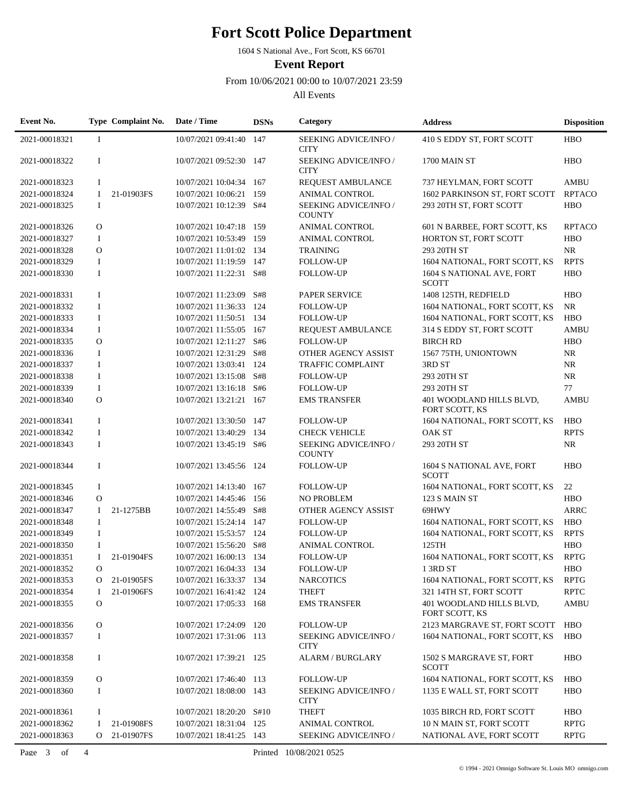1604 S National Ave., Fort Scott, KS 66701

**Event Report**

From 10/06/2021 00:00 to 10/07/2021 23:59

| Event No.     |                | Type Complaint No. | Date / Time              | <b>DSNs</b> | Category                                     | <b>Address</b>                             | <b>Disposition</b> |
|---------------|----------------|--------------------|--------------------------|-------------|----------------------------------------------|--------------------------------------------|--------------------|
| 2021-00018321 | -1             |                    | 10/07/2021 09:41:40 147  |             | <b>SEEKING ADVICE/INFO/</b><br><b>CITY</b>   | 410 S EDDY ST, FORT SCOTT                  | <b>HBO</b>         |
| 2021-00018322 | $\bf{I}$       |                    | 10/07/2021 09:52:30 147  |             | SEEKING ADVICE/INFO /<br><b>CITY</b>         | 1700 MAIN ST                               | <b>HBO</b>         |
| 2021-00018323 | $\bf{I}$       |                    | 10/07/2021 10:04:34 167  |             | REQUEST AMBULANCE                            | 737 HEYLMAN, FORT SCOTT                    | <b>AMBU</b>        |
| 2021-00018324 | <b>I</b>       | 21-01903FS         | 10/07/2021 10:06:21      | 159         | <b>ANIMAL CONTROL</b>                        | 1602 PARKINSON ST, FORT SCOTT              | <b>RPTACO</b>      |
| 2021-00018325 | $\bf{I}$       |                    | 10/07/2021 10:12:39      | S#4         | SEEKING ADVICE/INFO /<br><b>COUNTY</b>       | 293 20TH ST, FORT SCOTT                    | <b>HBO</b>         |
| 2021-00018326 | $\mathbf{O}$   |                    | 10/07/2021 10:47:18 159  |             | <b>ANIMAL CONTROL</b>                        | 601 N BARBEE, FORT SCOTT, KS               | <b>RPTACO</b>      |
| 2021-00018327 | $\bf{I}$       |                    | 10/07/2021 10:53:49 159  |             | <b>ANIMAL CONTROL</b>                        | HORTON ST, FORT SCOTT                      | <b>HBO</b>         |
| 2021-00018328 | $\Omega$       |                    | 10/07/2021 11:01:02 134  |             | <b>TRAINING</b>                              | 293 20TH ST                                | NR                 |
| 2021-00018329 | $\bf{I}$       |                    | 10/07/2021 11:19:59 147  |             | <b>FOLLOW-UP</b>                             | 1604 NATIONAL, FORT SCOTT, KS              | <b>RPTS</b>        |
| 2021-00018330 | $\bf{I}$       |                    | 10/07/2021 11:22:31      | S#8         | <b>FOLLOW-UP</b>                             | 1604 S NATIONAL AVE, FORT<br><b>SCOTT</b>  | <b>HBO</b>         |
| 2021-00018331 | $\bf{I}$       |                    | 10/07/2021 11:23:09      | S#8         | <b>PAPER SERVICE</b>                         | 1408 125TH, REDFIELD                       | <b>HBO</b>         |
| 2021-00018332 | $\mathbf I$    |                    | 10/07/2021 11:36:33 124  |             | <b>FOLLOW-UP</b>                             | 1604 NATIONAL, FORT SCOTT, KS              | NR                 |
| 2021-00018333 | $\mathbf I$    |                    | 10/07/2021 11:50:51 134  |             | <b>FOLLOW-UP</b>                             | 1604 NATIONAL, FORT SCOTT, KS              | <b>HBO</b>         |
| 2021-00018334 | $\mathbf I$    |                    | 10/07/2021 11:55:05 167  |             | REQUEST AMBULANCE                            | 314 S EDDY ST, FORT SCOTT                  | <b>AMBU</b>        |
| 2021-00018335 | $\Omega$       |                    | 10/07/2021 12:11:27      | S#6         | <b>FOLLOW-UP</b>                             | <b>BIRCH RD</b>                            | <b>HBO</b>         |
| 2021-00018336 | $\bf{I}$       |                    | 10/07/2021 12:31:29      | S#8         | OTHER AGENCY ASSIST                          | 1567 75TH, UNIONTOWN                       | $\rm NR$           |
| 2021-00018337 | $\bf{I}$       |                    | 10/07/2021 13:03:41      | 124         | <b>TRAFFIC COMPLAINT</b>                     | 3RD ST                                     | $\rm NR$           |
| 2021-00018338 | $\bf{I}$       |                    | 10/07/2021 13:15:08      | S#8         | <b>FOLLOW-UP</b>                             | 293 20TH ST                                | $\rm NR$           |
| 2021-00018339 | $\mathbf I$    |                    | 10/07/2021 13:16:18      | S#6         | <b>FOLLOW-UP</b>                             | 293 20TH ST                                | 77                 |
| 2021-00018340 | $\Omega$       |                    | 10/07/2021 13:21:21 167  |             | <b>EMS TRANSFER</b>                          | 401 WOODLAND HILLS BLVD,<br>FORT SCOTT, KS | <b>AMBU</b>        |
| 2021-00018341 | $\bf{I}$       |                    | 10/07/2021 13:30:50 147  |             | <b>FOLLOW-UP</b>                             | 1604 NATIONAL, FORT SCOTT, KS              | <b>HBO</b>         |
| 2021-00018342 | $\bf{I}$       |                    | 10/07/2021 13:40:29      | -134        | <b>CHECK VEHICLE</b>                         | <b>OAK ST</b>                              | <b>RPTS</b>        |
| 2021-00018343 | $\bf{I}$       |                    | 10/07/2021 13:45:19 S#6  |             | <b>SEEKING ADVICE/INFO/</b><br><b>COUNTY</b> | 293 20TH ST                                | $\rm NR$           |
| 2021-00018344 | $\bf{I}$       |                    | 10/07/2021 13:45:56 124  |             | <b>FOLLOW-UP</b>                             | 1604 S NATIONAL AVE, FORT<br><b>SCOTT</b>  | <b>HBO</b>         |
| 2021-00018345 | $\bf{I}$       |                    | 10/07/2021 14:13:40 167  |             | <b>FOLLOW-UP</b>                             | 1604 NATIONAL, FORT SCOTT, KS              | 22                 |
| 2021-00018346 | $\Omega$       |                    | 10/07/2021 14:45:46      | 156         | <b>NO PROBLEM</b>                            | 123 S MAIN ST                              | <b>HBO</b>         |
| 2021-00018347 | <b>I</b>       | 21-1275BB          | 10/07/2021 14:55:49      | S#8         | OTHER AGENCY ASSIST                          | 69HWY                                      | <b>ARRC</b>        |
| 2021-00018348 | $\mathbf I$    |                    | 10/07/2021 15:24:14 147  |             | <b>FOLLOW-UP</b>                             | 1604 NATIONAL, FORT SCOTT, KS              | <b>HBO</b>         |
| 2021-00018349 | $\mathbf I$    |                    | 10/07/2021 15:53:57 124  |             | <b>FOLLOW-UP</b>                             | 1604 NATIONAL, FORT SCOTT, KS              | <b>RPTS</b>        |
| 2021-00018350 | I              |                    | 10/07/2021 15:56:20      | S#8         | <b>ANIMAL CONTROL</b>                        | 125TH                                      | <b>HBO</b>         |
| 2021-00018351 | I              | 21-01904FS         | 10/07/2021 16:00:13 134  |             | <b>FOLLOW-UP</b>                             | 1604 NATIONAL, FORT SCOTT, KS              | <b>RPTG</b>        |
| 2021-00018352 | $\Omega$       |                    | 10/07/2021 16:04:33 134  |             | <b>FOLLOW-UP</b>                             | 13RD ST                                    | <b>HBO</b>         |
| 2021-00018353 |                | O 21-01905FS       | 10/07/2021 16:33:37 134  |             | <b>NARCOTICS</b>                             | 1604 NATIONAL, FORT SCOTT, KS              | <b>RPTG</b>        |
| 2021-00018354 | $\mathbf{I}$   | 21-01906FS         | 10/07/2021 16:41:42 124  |             | <b>THEFT</b>                                 | 321 14TH ST, FORT SCOTT                    | <b>RPTC</b>        |
| 2021-00018355 | $\Omega$       |                    | 10/07/2021 17:05:33 168  |             | <b>EMS TRANSFER</b>                          | 401 WOODLAND HILLS BLVD,<br>FORT SCOTT, KS | AMBU               |
| 2021-00018356 | $\mathbf O$    |                    | 10/07/2021 17:24:09 120  |             | <b>FOLLOW-UP</b>                             | 2123 MARGRAVE ST, FORT SCOTT               | HBO                |
| 2021-00018357 | $\bf{I}$       |                    | 10/07/2021 17:31:06 113  |             | <b>SEEKING ADVICE/INFO/</b><br><b>CITY</b>   | 1604 NATIONAL, FORT SCOTT, KS              | <b>HBO</b>         |
| 2021-00018358 | $\bf{I}$       |                    | 10/07/2021 17:39:21 125  |             | ALARM / BURGLARY                             | 1502 S MARGRAVE ST, FORT<br><b>SCOTT</b>   | <b>HBO</b>         |
| 2021-00018359 | O              |                    | 10/07/2021 17:46:40 113  |             | <b>FOLLOW-UP</b>                             | 1604 NATIONAL, FORT SCOTT, KS              | <b>HBO</b>         |
| 2021-00018360 | $\bf{I}$       |                    | 10/07/2021 18:08:00 143  |             | SEEKING ADVICE/INFO /<br><b>CITY</b>         | 1135 E WALL ST, FORT SCOTT                 | <b>HBO</b>         |
| 2021-00018361 | Ι.             |                    | 10/07/2021 18:20:20 S#10 |             | <b>THEFT</b>                                 | 1035 BIRCH RD, FORT SCOTT                  | <b>HBO</b>         |
| 2021-00018362 | Ι.             | 21-01908FS         | 10/07/2021 18:31:04 125  |             | <b>ANIMAL CONTROL</b>                        | 10 N MAIN ST, FORT SCOTT                   | <b>RPTG</b>        |
| 2021-00018363 |                | O 21-01907FS       | 10/07/2021 18:41:25 143  |             | SEEKING ADVICE/INFO /                        | NATIONAL AVE, FORT SCOTT                   | <b>RPTG</b>        |
| Page 3 of     | $\overline{4}$ |                    |                          |             | Printed 10/08/2021 0525                      |                                            |                    |